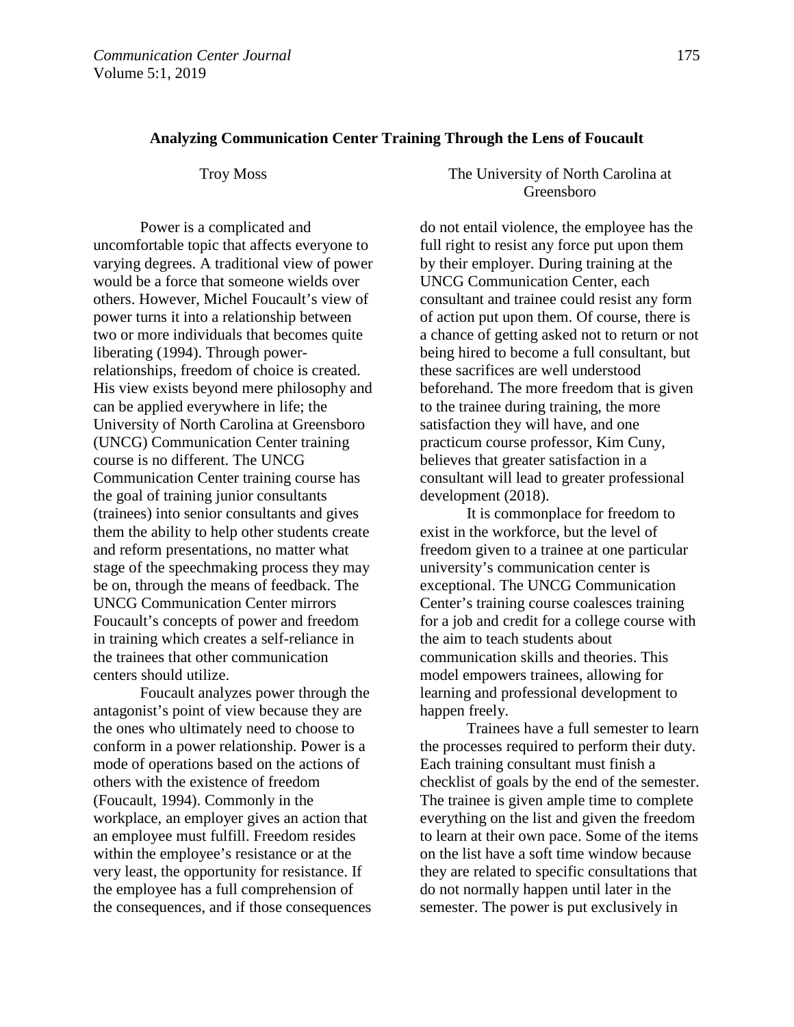## **Analyzing Communication Center Training Through the Lens of Foucault**

Power is a complicated and uncomfortable topic that affects everyone to varying degrees. A traditional view of power would be a force that someone wields over others. However, Michel Foucault's view of power turns it into a relationship between two or more individuals that becomes quite liberating (1994). Through powerrelationships, freedom of choice is created. His view exists beyond mere philosophy and can be applied everywhere in life; the University of North Carolina at Greensboro (UNCG) Communication Center training course is no different. The UNCG Communication Center training course has the goal of training junior consultants (trainees) into senior consultants and gives them the ability to help other students create and reform presentations, no matter what stage of the speechmaking process they may be on, through the means of feedback. The UNCG Communication Center mirrors Foucault's concepts of power and freedom in training which creates a self-reliance in the trainees that other communication centers should utilize.

 Foucault analyzes power through the antagonist's point of view because they are the ones who ultimately need to choose to conform in a power relationship. Power is a mode of operations based on the actions of others with the existence of freedom (Foucault, 1994). Commonly in the workplace, an employer gives an action that an employee must fulfill. Freedom resides within the employee's resistance or at the very least, the opportunity for resistance. If the employee has a full comprehension of the consequences, and if those consequences

## Troy Moss The University of North Carolina at Greensboro

do not entail violence, the employee has the full right to resist any force put upon them by their employer. During training at the UNCG Communication Center, each consultant and trainee could resist any form of action put upon them. Of course, there is a chance of getting asked not to return or not being hired to become a full consultant, but these sacrifices are well understood beforehand. The more freedom that is given to the trainee during training, the more satisfaction they will have, and one practicum course professor, Kim Cuny, believes that greater satisfaction in a consultant will lead to greater professional development (2018).

It is commonplace for freedom to exist in the workforce, but the level of freedom given to a trainee at one particular university's communication center is exceptional. The UNCG Communication Center's training course coalesces training for a job and credit for a college course with the aim to teach students about communication skills and theories. This model empowers trainees, allowing for learning and professional development to happen freely.

Trainees have a full semester to learn the processes required to perform their duty. Each training consultant must finish a checklist of goals by the end of the semester. The trainee is given ample time to complete everything on the list and given the freedom to learn at their own pace. Some of the items on the list have a soft time window because they are related to specific consultations that do not normally happen until later in the semester. The power is put exclusively in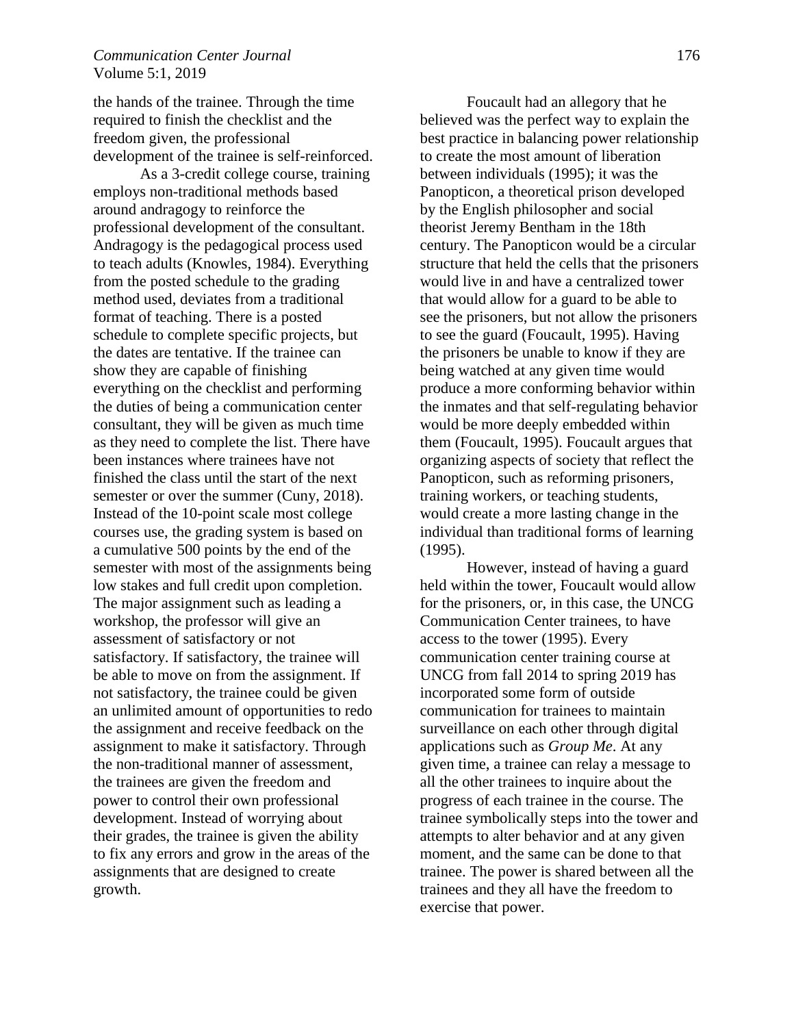the hands of the trainee. Through the time required to finish the checklist and the freedom given, the professional development of the trainee is self-reinforced.

As a 3-credit college course, training employs non-traditional methods based around andragogy to reinforce the professional development of the consultant. Andragogy is the pedagogical process used to teach adults (Knowles, 1984). Everything from the posted schedule to the grading method used, deviates from a traditional format of teaching. There is a posted schedule to complete specific projects, but the dates are tentative. If the trainee can show they are capable of finishing everything on the checklist and performing the duties of being a communication center consultant, they will be given as much time as they need to complete the list. There have been instances where trainees have not finished the class until the start of the next semester or over the summer (Cuny, 2018). Instead of the 10-point scale most college courses use, the grading system is based on a cumulative 500 points by the end of the semester with most of the assignments being low stakes and full credit upon completion. The major assignment such as leading a workshop, the professor will give an assessment of satisfactory or not satisfactory. If satisfactory, the trainee will be able to move on from the assignment. If not satisfactory, the trainee could be given an unlimited amount of opportunities to redo the assignment and receive feedback on the assignment to make it satisfactory. Through the non-traditional manner of assessment, the trainees are given the freedom and power to control their own professional development. Instead of worrying about their grades, the trainee is given the ability to fix any errors and grow in the areas of the assignments that are designed to create growth.

 Foucault had an allegory that he believed was the perfect way to explain the best practice in balancing power relationship to create the most amount of liberation between individuals (1995); it was the Panopticon, a theoretical prison developed by the English philosopher and social theorist Jeremy Bentham in the 18th century. The Panopticon would be a circular structure that held the cells that the prisoners would live in and have a centralized tower that would allow for a guard to be able to see the prisoners, but not allow the prisoners to see the guard (Foucault, 1995). Having the prisoners be unable to know if they are being watched at any given time would produce a more conforming behavior within the inmates and that self-regulating behavior would be more deeply embedded within them (Foucault, 1995). Foucault argues that organizing aspects of society that reflect the Panopticon, such as reforming prisoners, training workers, or teaching students, would create a more lasting change in the individual than traditional forms of learning (1995).

 However, instead of having a guard held within the tower, Foucault would allow for the prisoners, or, in this case, the UNCG Communication Center trainees, to have access to the tower (1995). Every communication center training course at UNCG from fall 2014 to spring 2019 has incorporated some form of outside communication for trainees to maintain surveillance on each other through digital applications such as *Group Me*. At any given time, a trainee can relay a message to all the other trainees to inquire about the progress of each trainee in the course. The trainee symbolically steps into the tower and attempts to alter behavior and at any given moment, and the same can be done to that trainee. The power is shared between all the trainees and they all have the freedom to exercise that power.